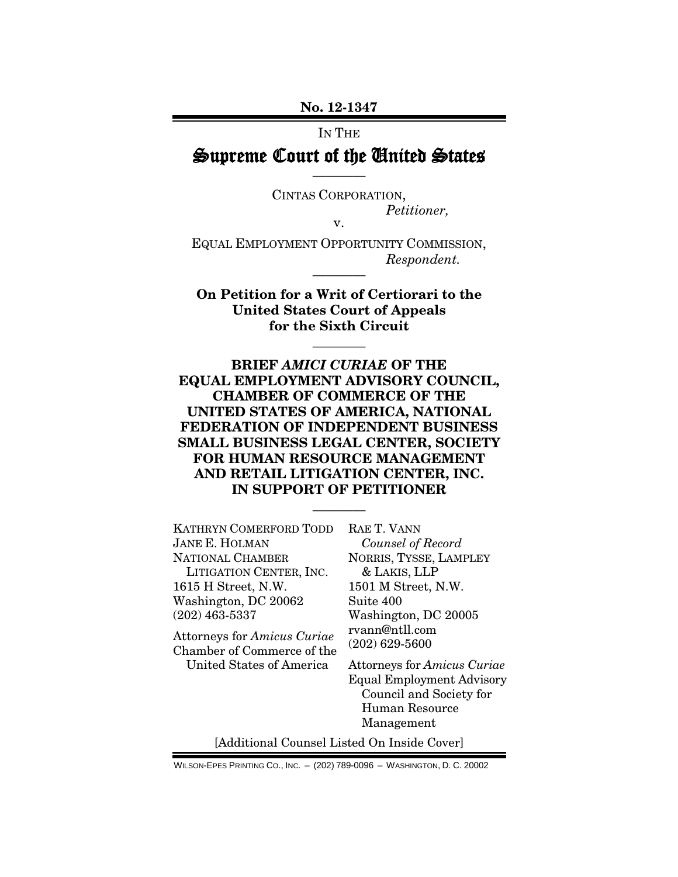**No. 12-1347**

#### IN THE

### Supreme Court of the United States ————

CINTAS CORPORATION, *Petitioner,*

v.

EQUAL EMPLOYMENT OPPORTUNITY COMMISSION, *Respondent.*

————

**On Petition for a Writ of Certiorari to the United States Court of Appeals for the Sixth Circuit**

————

**BRIEF** *AMICI CURIAE* **OF THE EQUAL EMPLOYMENT ADVISORY COUNCIL, CHAMBER OF COMMERCE OF THE UNITED STATES OF AMERICA, NATIONAL FEDERATION OF INDEPENDENT BUSINESS SMALL BUSINESS LEGAL CENTER, SOCIETY FOR HUMAN RESOURCE MANAGEMENT AND RETAIL LITIGATION CENTER, INC. IN SUPPORT OF PETITIONER**

————

KATHRYN COMERFORD TODD JANE E. HOLMAN NATIONAL CHAMBER LITIGATION CENTER, INC. 1615 H Street, N.W. Washington, DC 20062 (202) 463-5337

Attorneys for *Amicus Curiae* Chamber of Commerce of the United States of America

RAE T. VANN *Counsel of Record* NORRIS, TYSSE, LAMPLEY & LAKIS, LLP 1501 M Street, N.W. Suite 400 Washington, DC 20005 rvann@ntll.com (202) 629-5600

Attorneys for *Amicus Curiae* Equal Employment Advisory Council and Society for Human Resource Management

[Additional Counsel Listed On Inside Cover]

WILSON-EPES PRINTING CO., INC. – (202) 789-0096 – WASHINGTON, D. C. 20002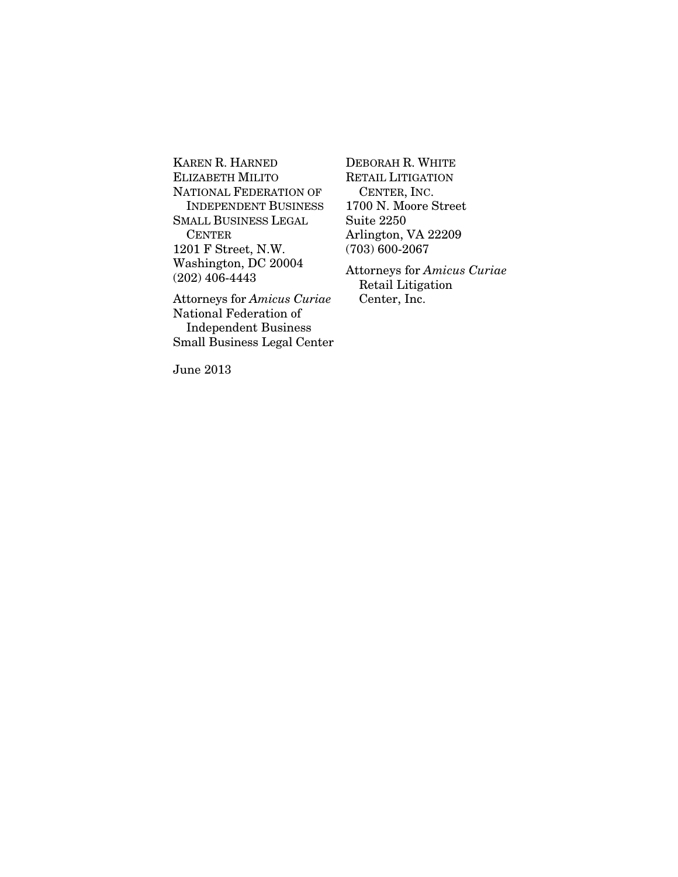KAREN R. HARNED ELIZABETH MILITO NATIONAL FEDERATION OF INDEPENDENT BUSINESS SMALL BUSINESS LEGAL CENTER 1201 F Street, N.W. Washington, DC 20004 (202) 406-4443

Attorneys for *Amicus Curiae* National Federation of Independent Business Small Business Legal Center DEBORAH R. WHITE RETAIL LITIGATION CENTER, INC. 1700 N. Moore Street Suite 2250 Arlington, VA 22209 (703) 600-2067

Attorneys for *Amicus Curiae* Retail Litigation Center, Inc.

June 2013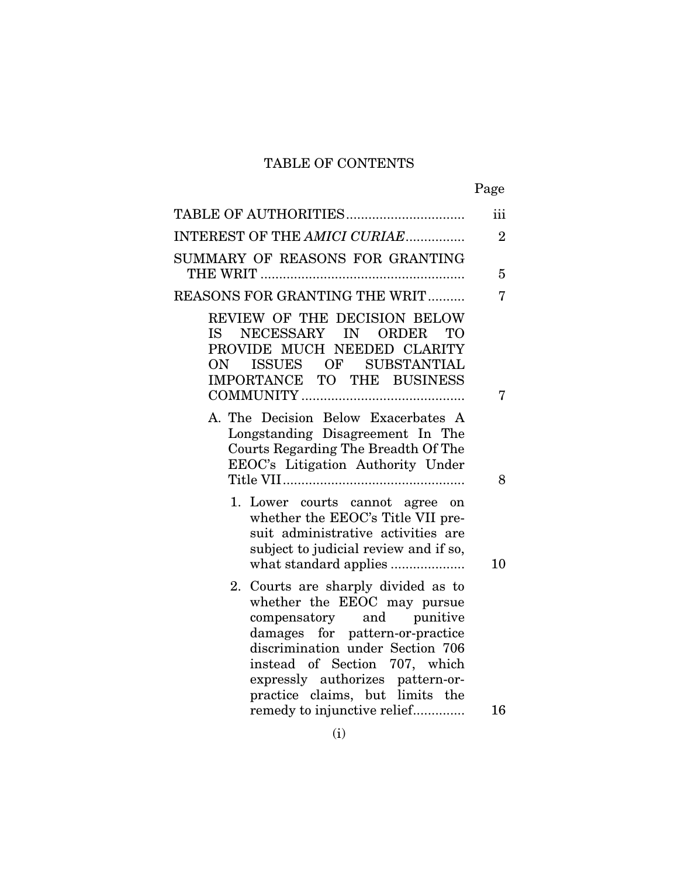### TABLE OF CONTENTS

|                                                                                                                                                                                                                                                                                | Page           |
|--------------------------------------------------------------------------------------------------------------------------------------------------------------------------------------------------------------------------------------------------------------------------------|----------------|
|                                                                                                                                                                                                                                                                                | iii            |
| INTEREST OF THE AMICI CURIAE                                                                                                                                                                                                                                                   | $\overline{2}$ |
| SUMMARY OF REASONS FOR GRANTING                                                                                                                                                                                                                                                | 5              |
| REASONS FOR GRANTING THE WRIT                                                                                                                                                                                                                                                  | 7              |
| REVIEW OF THE DECISION BELOW<br>NECESSARY IN<br><b>ORDER</b><br><b>TO</b><br>IS -<br>PROVIDE MUCH NEEDED CLARITY<br>ISSUES OF SUBSTANTIAL<br>ON<br>IMPORTANCE TO THE BUSINESS                                                                                                  |                |
|                                                                                                                                                                                                                                                                                | 7              |
| A. The Decision Below Exacerbates A<br>Longstanding Disagreement In The<br>Courts Regarding The Breadth Of The<br>EEOC's Litigation Authority Under                                                                                                                            | 8              |
| 1. Lower courts cannot agree on<br>whether the EEOC's Title VII pre-<br>suit administrative activities are<br>subject to judicial review and if so,                                                                                                                            | 10             |
| 2. Courts are sharply divided as to<br>whether the EEOC may pursue<br>compensatory and punitive<br>damages for pattern-or-practice<br>discrimination under Section 706<br>instead of Section 707, which<br>expressly authorizes pattern-or-<br>practice claims, but limits the |                |
| remedy to injunctive relief                                                                                                                                                                                                                                                    | 16             |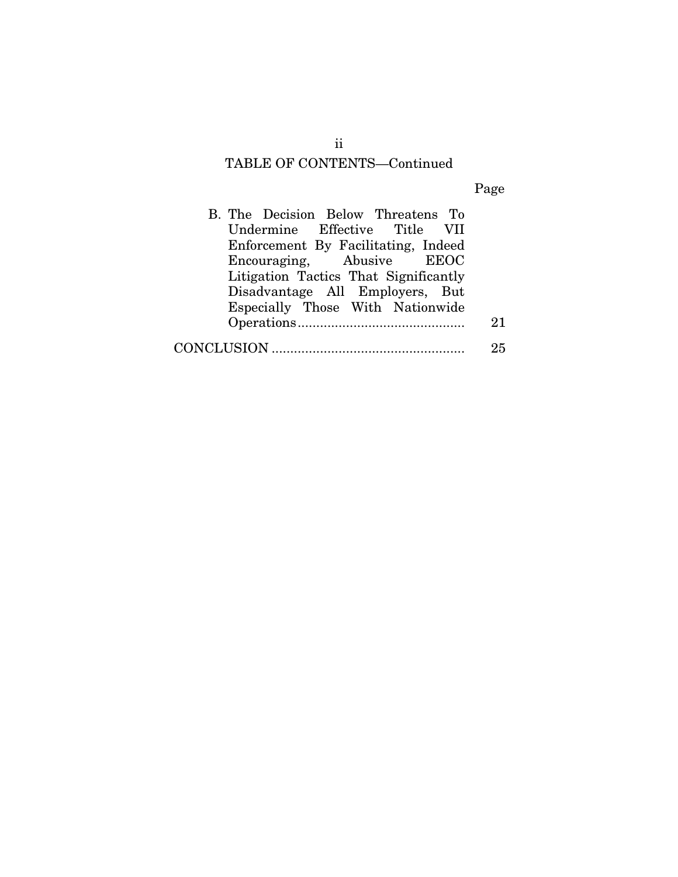### TABLE OF CONTENTS—Continued

Page

| B. The Decision Below Threatens To    |    |
|---------------------------------------|----|
| Undermine Effective Title VII         |    |
| Enforcement By Facilitating, Indeed   |    |
| Encouraging, Abusive EEOC             |    |
| Litigation Tactics That Significantly |    |
| Disadvantage All Employers, But       |    |
| Especially Those With Nationwide      |    |
|                                       | 21 |
|                                       | 25 |

ii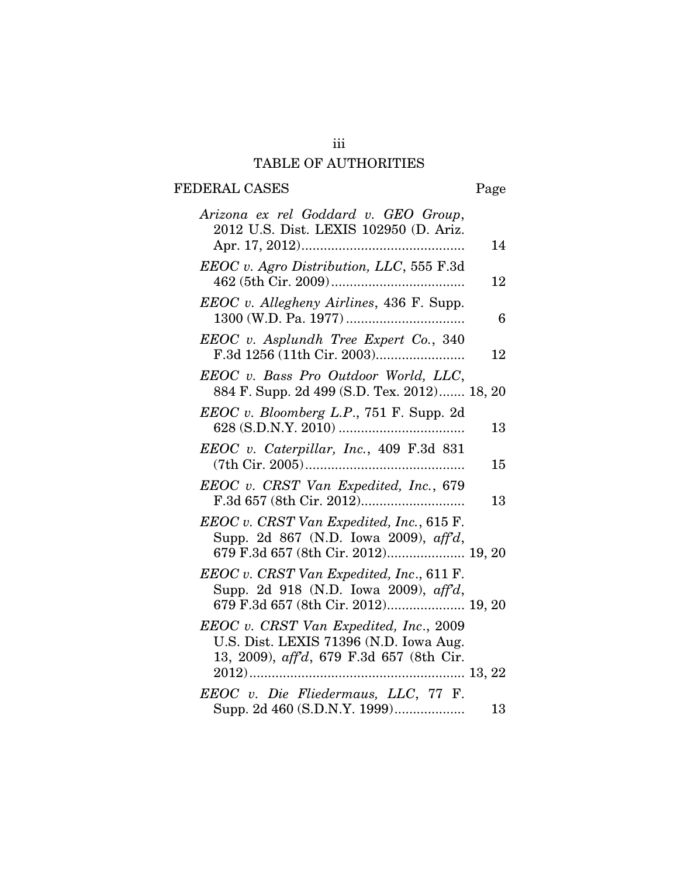### iii TABLE OF AUTHORITIES

## FEDERAL CASES Page

| Arizona ex rel Goddard v. GEO Group,<br>2012 U.S. Dist. LEXIS 102950 (D. Ariz.                                               |    |
|------------------------------------------------------------------------------------------------------------------------------|----|
|                                                                                                                              | 14 |
| EEOC v. Agro Distribution, LLC, 555 F.3d                                                                                     | 12 |
| EEOC v. Allegheny Airlines, 436 F. Supp.                                                                                     | 6  |
| EEOC v. Asplundh Tree Expert Co., 340                                                                                        | 12 |
| EEOC v. Bass Pro Outdoor World, LLC,<br>884 F. Supp. 2d 499 (S.D. Tex. 2012) 18, 20                                          |    |
| EEOC v. Bloomberg L.P., 751 F. Supp. 2d                                                                                      | 13 |
| EEOC v. Caterpillar, Inc., 409 F.3d 831                                                                                      | 15 |
| EEOC v. CRST Van Expedited, Inc., 679                                                                                        | 13 |
| EEOC v. CRST Van Expedited, Inc., 615 F.<br>Supp. 2d 867 (N.D. Iowa 2009), aff'd,<br>679 F.3d 657 (8th Cir. 2012) 19, 20     |    |
| EEOC v. CRST Van Expedited, Inc., 611 F.<br>Supp. 2d 918 (N.D. Iowa 2009), aff'd,<br>679 F.3d 657 (8th Cir. 2012) 19, 20     |    |
| EEOC v. CRST Van Expedited, Inc., 2009<br>U.S. Dist. LEXIS 71396 (N.D. Iowa Aug.<br>13, 2009), aff'd, 679 F.3d 657 (8th Cir. |    |
| EEOC v. Die Fliedermaus, LLC, 77 F.                                                                                          |    |
| Supp. 2d 460 (S.D.N.Y. 1999)                                                                                                 | 13 |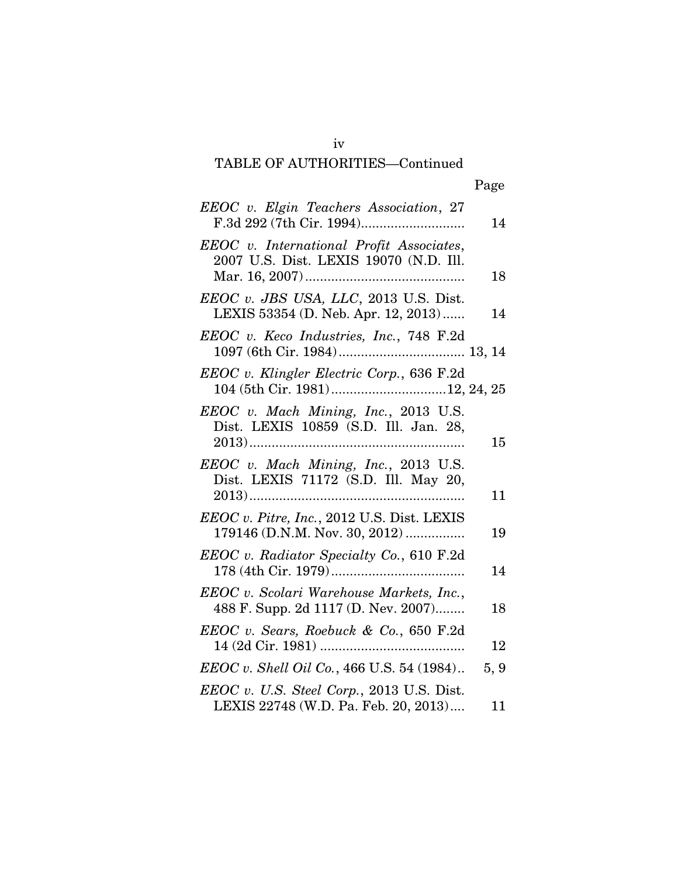# TABLE OF AUTHORITIES—Continued

## Page

| EEOC v. Elgin Teachers Association, 27                                             | 14   |
|------------------------------------------------------------------------------------|------|
| EEOC v. International Profit Associates,<br>2007 U.S. Dist. LEXIS 19070 (N.D. Ill. | 18   |
| EEOC v. JBS USA, LLC, 2013 U.S. Dist.<br>LEXIS 53354 (D. Neb. Apr. 12, 2013)       | 14   |
| EEOC v. Keco Industries, Inc., 748 F.2d                                            |      |
| EEOC v. Klingler Electric Corp., 636 F.2d<br>104 (5th Cir. 1981)12, 24, 25         |      |
| EEOC v. Mach Mining, Inc., 2013 U.S.<br>Dist. LEXIS 10859 (S.D. Ill. Jan. 28,      | 15   |
| EEOC v. Mach Mining, Inc., 2013 U.S.<br>Dist. LEXIS 71172 (S.D. Ill. May 20,       | 11   |
| EEOC v. Pitre, Inc., 2012 U.S. Dist. LEXIS<br>179146 (D.N.M. Nov. 30, 2012)        | 19   |
| EEOC v. Radiator Specialty Co., 610 F.2d                                           | 14   |
| EEOC v. Scolari Warehouse Markets, Inc.,<br>488 F. Supp. 2d 1117 (D. Nev. 2007)    | 18   |
| EEOC v. Sears, Roebuck & Co., 650 F.2d                                             | 12   |
| <i>EEOC v. Shell Oil Co.</i> , 466 U.S. 54 (1984)                                  | 5, 9 |
| EEOC v. U.S. Steel Corp., 2013 U.S. Dist.<br>LEXIS 22748 (W.D. Pa. Feb. 20, 2013)  | 11   |

iv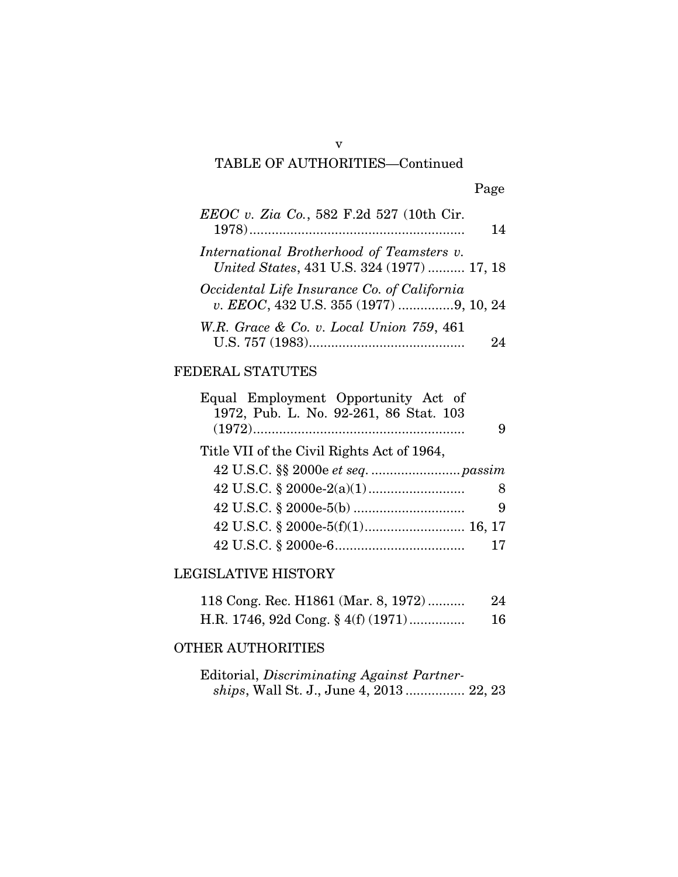### v TABLE OF AUTHORITIES—Continued

| EEOC v. Zia Co., 582 F.2d 527 (10th Cir.                                                | 14 |
|-----------------------------------------------------------------------------------------|----|
| International Brotherhood of Teamsters v.<br>United States, 431 U.S. 324 (1977)  17, 18 |    |
| Occidental Life Insurance Co. of California<br>v. EEOC, 432 U.S. 355 (1977) 9, 10, 24   |    |
| W.R. Grace & Co. v. Local Union 759, 461                                                |    |

### FEDERAL STATUTES

| Equal Employment Opportunity Act of<br>1972, Pub. L. No. 92-261, 86 Stat. 103 | 9  |
|-------------------------------------------------------------------------------|----|
| Title VII of the Civil Rights Act of 1964,                                    |    |
|                                                                               |    |
|                                                                               | 8  |
|                                                                               | 9  |
|                                                                               |    |
|                                                                               | 17 |
|                                                                               |    |

### LEGISLATIVE HISTORY

| 118 Cong. Rec. H1861 (Mar. 8, 1972)   | 24 |
|---------------------------------------|----|
| H.R. 1746, 92d Cong. $\S$ 4(f) (1971) | 16 |

### OTHER AUTHORITIES

Editorial, *Discriminating Against Partnerships*, Wall St. J., June 4, 2013 ................ 22, 23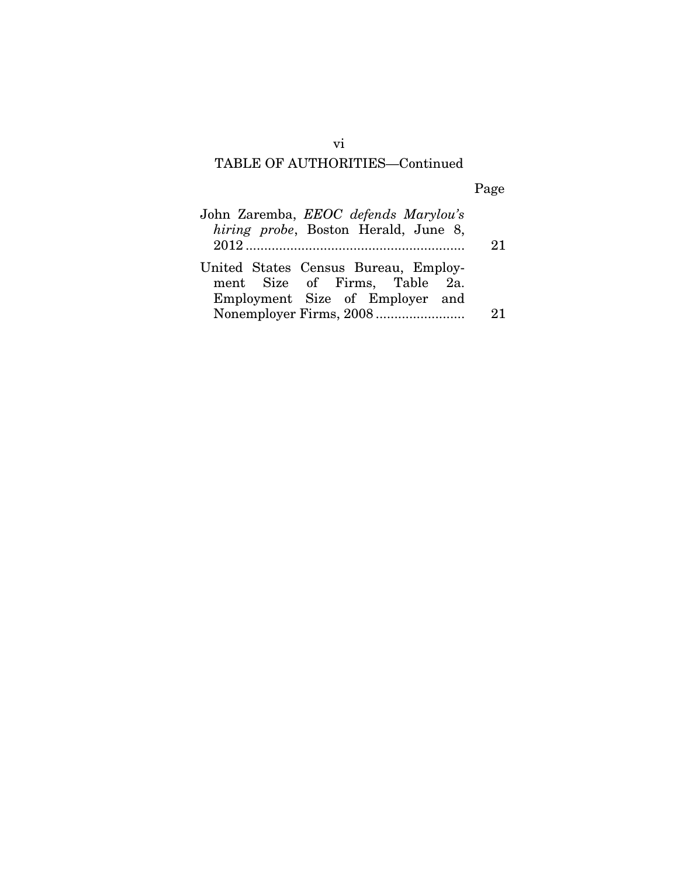### TABLE OF AUTHORITIES—Continued

Page

| John Zaremba, EEOC defends Marylou's<br>hiring probe, Boston Herald, June 8, | 21 |
|------------------------------------------------------------------------------|----|
| United States Census Bureau, Employ-<br>ment Size of Firms, Table 2a.        |    |
| Employment Size of Employer and                                              |    |
|                                                                              |    |

vi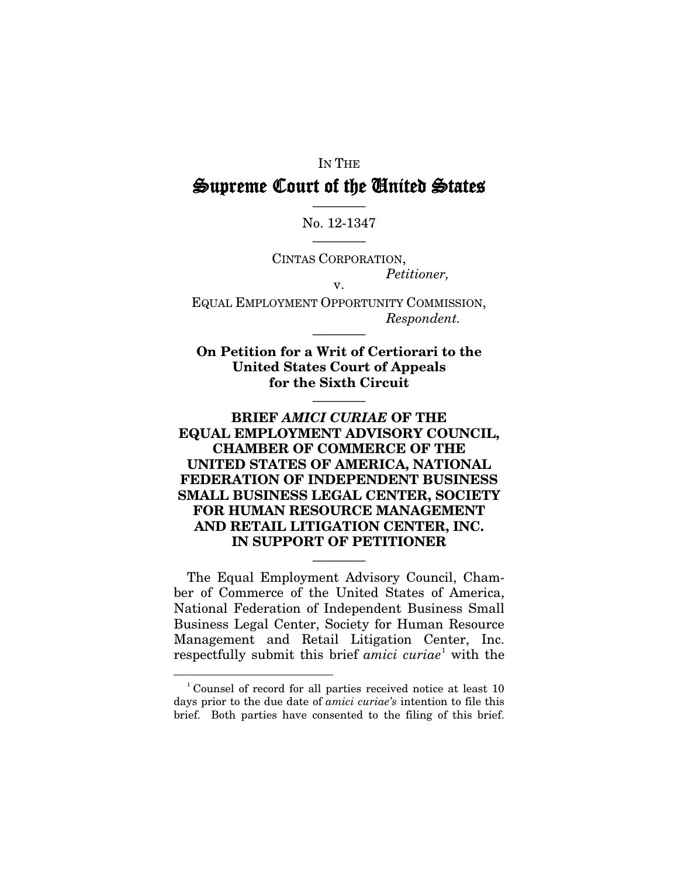### IN THE Supreme Court of the United States

### ———— No. 12-1347 ————

CINTAS CORPORATION, *Petitioner,* v.

EQUAL EMPLOYMENT OPPORTUNITY COMMISSION, *Respondent.*

————

**On Petition for a Writ of Certiorari to the United States Court of Appeals for the Sixth Circuit**

————

### **BRIEF** *AMICI CURIAE* **OF THE EQUAL EMPLOYMENT ADVISORY COUNCIL, CHAMBER OF COMMERCE OF THE UNITED STATES OF AMERICA, NATIONAL FEDERATION OF INDEPENDENT BUSINESS SMALL BUSINESS LEGAL CENTER, SOCIETY FOR HUMAN RESOURCE MANAGEMENT AND RETAIL LITIGATION CENTER, INC. IN SUPPORT OF PETITIONER**

The Equal Employment Advisory Council, Chamber of Commerce of the United States of America, National Federation of Independent Business Small Business Legal Center, Society for Human Resource Management and Retail Litigation Center, Inc. respectfully submit this brief *amici curiae*<sup>[1](#page-8-0)</sup> with the

————

-

<span id="page-8-0"></span><sup>&</sup>lt;sup>1</sup> Counsel of record for all parties received notice at least 10 days prior to the due date of *amici curiae's* intention to file this brief. Both parties have consented to the filing of this brief.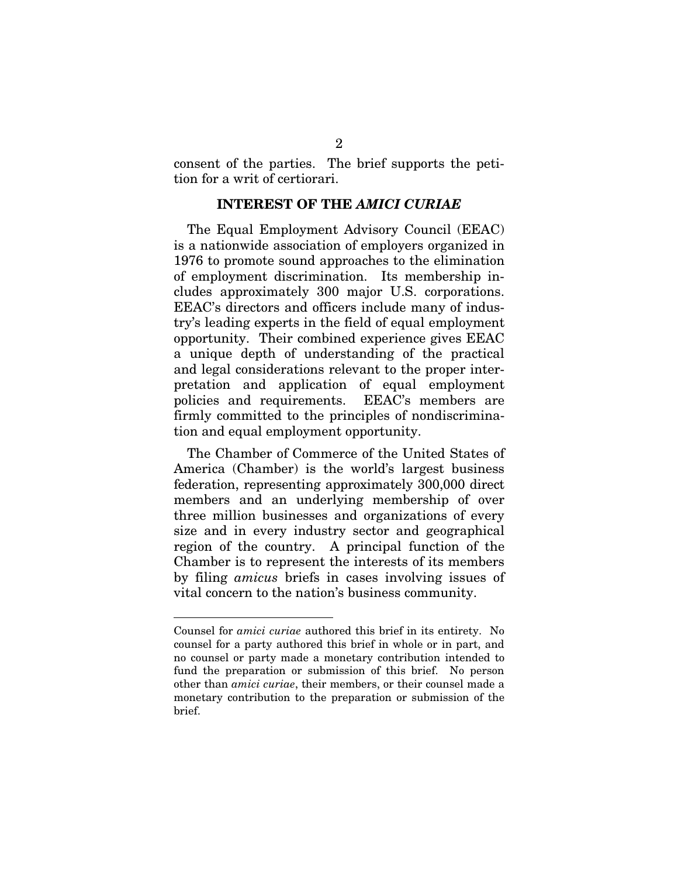consent of the parties. The brief supports the petition for a writ of certiorari.

#### **INTEREST OF THE** *AMICI CURIAE*

The Equal Employment Advisory Council (EEAC) is a nationwide association of employers organized in 1976 to promote sound approaches to the elimination of employment discrimination. Its membership includes approximately 300 major U.S. corporations. EEAC's directors and officers include many of industry's leading experts in the field of equal employment opportunity. Their combined experience gives EEAC a unique depth of understanding of the practical and legal considerations relevant to the proper interpretation and application of equal employment policies and requirements. EEAC's members are firmly committed to the principles of nondiscrimination and equal employment opportunity.

The Chamber of Commerce of the United States of America (Chamber) is the world's largest business federation, representing approximately 300,000 direct members and an underlying membership of over three million businesses and organizations of every size and in every industry sector and geographical region of the country. A principal function of the Chamber is to represent the interests of its members by filing *amicus* briefs in cases involving issues of vital concern to the nation's business community.

<u>.</u>

Counsel for *amici curiae* authored this brief in its entirety.No counsel for a party authored this brief in whole or in part, and no counsel or party made a monetary contribution intended to fund the preparation or submission of this brief. No person other than *amici curiae*, their members, or their counsel made a monetary contribution to the preparation or submission of the brief.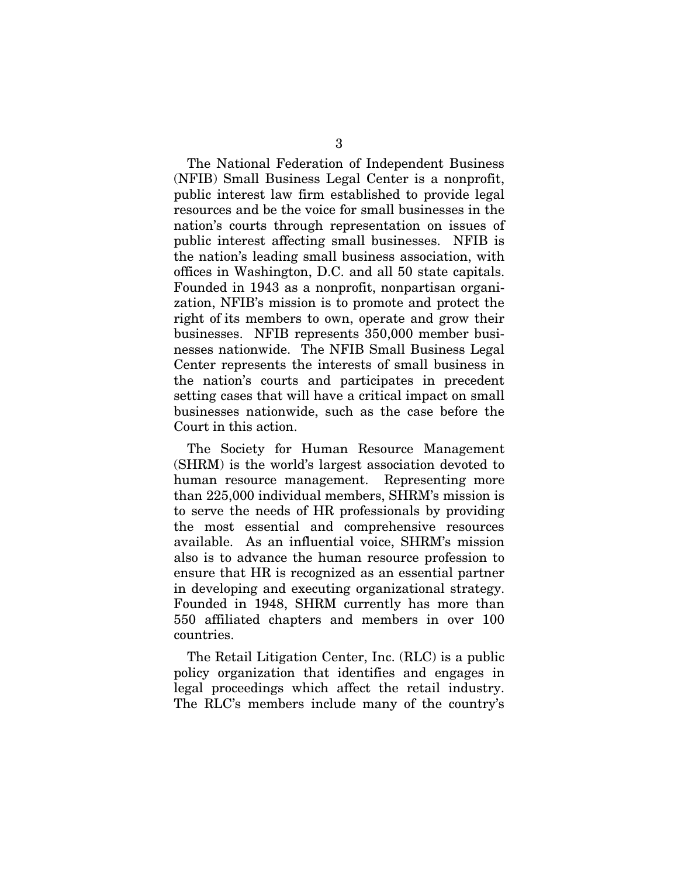The National Federation of Independent Business (NFIB) Small Business Legal Center is a nonprofit, public interest law firm established to provide legal resources and be the voice for small businesses in the nation's courts through representation on issues of public interest affecting small businesses. NFIB is the nation's leading small business association, with offices in Washington, D.C. and all 50 state capitals. Founded in 1943 as a nonprofit, nonpartisan organization, NFIB's mission is to promote and protect the right of its members to own, operate and grow their businesses. NFIB represents 350,000 member businesses nationwide. The NFIB Small Business Legal Center represents the interests of small business in the nation's courts and participates in precedent setting cases that will have a critical impact on small businesses nationwide, such as the case before the Court in this action.

The Society for Human Resource Management (SHRM) is the world's largest association devoted to human resource management. Representing more than 225,000 individual members, SHRM's mission is to serve the needs of HR professionals by providing the most essential and comprehensive resources available. As an influential voice, SHRM's mission also is to advance the human resource profession to ensure that HR is recognized as an essential partner in developing and executing organizational strategy. Founded in 1948, SHRM currently has more than 550 affiliated chapters and members in over 100 countries.

The Retail Litigation Center, Inc. (RLC) is a public policy organization that identifies and engages in legal proceedings which affect the retail industry. The RLC's members include many of the country's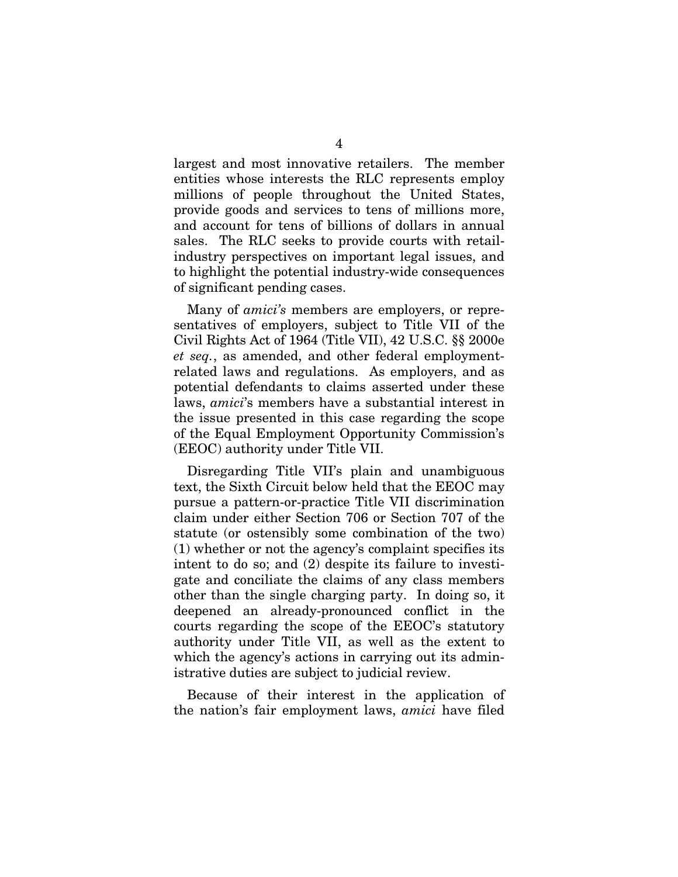largest and most innovative retailers. The member entities whose interests the RLC represents employ millions of people throughout the United States, provide goods and services to tens of millions more, and account for tens of billions of dollars in annual sales. The RLC seeks to provide courts with retailindustry perspectives on important legal issues, and to highlight the potential industry-wide consequences of significant pending cases.

Many of *amici's* members are employers, or representatives of employers, subject to Title VII of the Civil Rights Act of 1964 (Title VII), 42 U.S.C. §§ 2000e *et seq.*, as amended, and other federal employmentrelated laws and regulations. As employers, and as potential defendants to claims asserted under these laws, *amici*'s members have a substantial interest in the issue presented in this case regarding the scope of the Equal Employment Opportunity Commission's (EEOC) authority under Title VII.

Disregarding Title VII's plain and unambiguous text, the Sixth Circuit below held that the EEOC may pursue a pattern-or-practice Title VII discrimination claim under either Section 706 or Section 707 of the statute (or ostensibly some combination of the two) (1) whether or not the agency's complaint specifies its intent to do so; and (2) despite its failure to investigate and conciliate the claims of any class members other than the single charging party. In doing so, it deepened an already-pronounced conflict in the courts regarding the scope of the EEOC's statutory authority under Title VII, as well as the extent to which the agency's actions in carrying out its administrative duties are subject to judicial review.

Because of their interest in the application of the nation's fair employment laws, *amici* have filed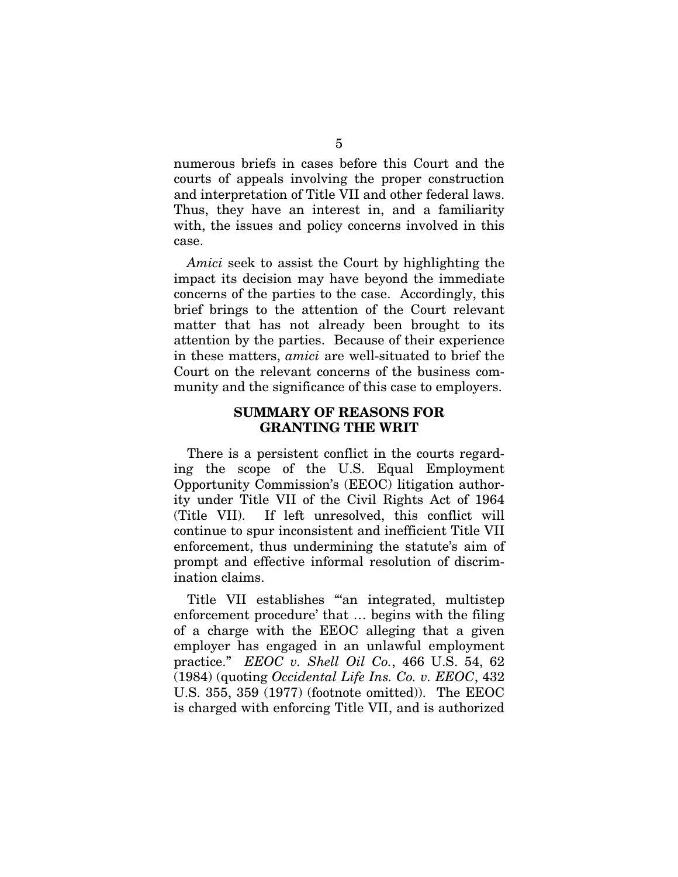numerous briefs in cases before this Court and the courts of appeals involving the proper construction and interpretation of Title VII and other federal laws. Thus, they have an interest in, and a familiarity with, the issues and policy concerns involved in this case.

*Amici* seek to assist the Court by highlighting the impact its decision may have beyond the immediate concerns of the parties to the case. Accordingly, this brief brings to the attention of the Court relevant matter that has not already been brought to its attention by the parties. Because of their experience in these matters, *amici* are well-situated to brief the Court on the relevant concerns of the business community and the significance of this case to employers.

#### **SUMMARY OF REASONS FOR GRANTING THE WRIT**

There is a persistent conflict in the courts regarding the scope of the U.S. Equal Employment Opportunity Commission's (EEOC) litigation authority under Title VII of the Civil Rights Act of 1964 (Title VII). If left unresolved, this conflict will continue to spur inconsistent and inefficient Title VII enforcement, thus undermining the statute's aim of prompt and effective informal resolution of discrimination claims.

Title VII establishes "'an integrated, multistep enforcement procedure' that … begins with the filing of a charge with the EEOC alleging that a given employer has engaged in an unlawful employment practice." *EEOC v. Shell Oil Co.*, 466 U.S. 54, 62 (1984) (quoting *Occidental Life Ins. Co. v. EEOC*, 432 U.S. 355, 359 (1977) (footnote omitted)). The EEOC is charged with enforcing Title VII, and is authorized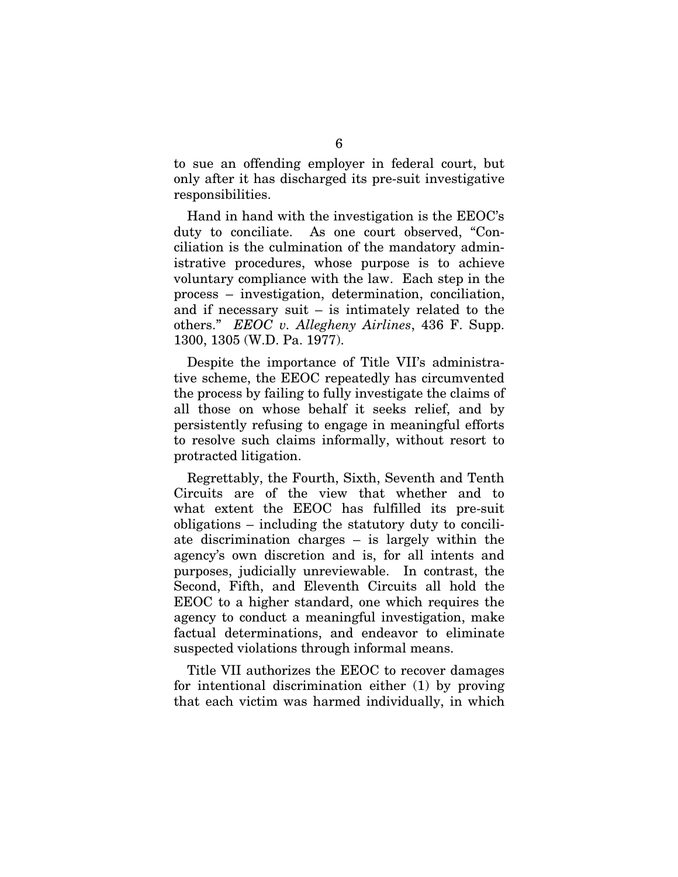to sue an offending employer in federal court, but only after it has discharged its pre-suit investigative responsibilities.

Hand in hand with the investigation is the EEOC's duty to conciliate. As one court observed, "Conciliation is the culmination of the mandatory administrative procedures, whose purpose is to achieve voluntary compliance with the law. Each step in the process – investigation, determination, conciliation, and if necessary suit – is intimately related to the others." *EEOC v. Allegheny Airlines*, 436 F. Supp. 1300, 1305 (W.D. Pa. 1977).

Despite the importance of Title VII's administrative scheme, the EEOC repeatedly has circumvented the process by failing to fully investigate the claims of all those on whose behalf it seeks relief, and by persistently refusing to engage in meaningful efforts to resolve such claims informally, without resort to protracted litigation.

Regrettably, the Fourth, Sixth, Seventh and Tenth Circuits are of the view that whether and to what extent the EEOC has fulfilled its pre-suit obligations – including the statutory duty to conciliate discrimination charges – is largely within the agency's own discretion and is, for all intents and purposes, judicially unreviewable. In contrast, the Second, Fifth, and Eleventh Circuits all hold the EEOC to a higher standard, one which requires the agency to conduct a meaningful investigation, make factual determinations, and endeavor to eliminate suspected violations through informal means.

Title VII authorizes the EEOC to recover damages for intentional discrimination either (1) by proving that each victim was harmed individually, in which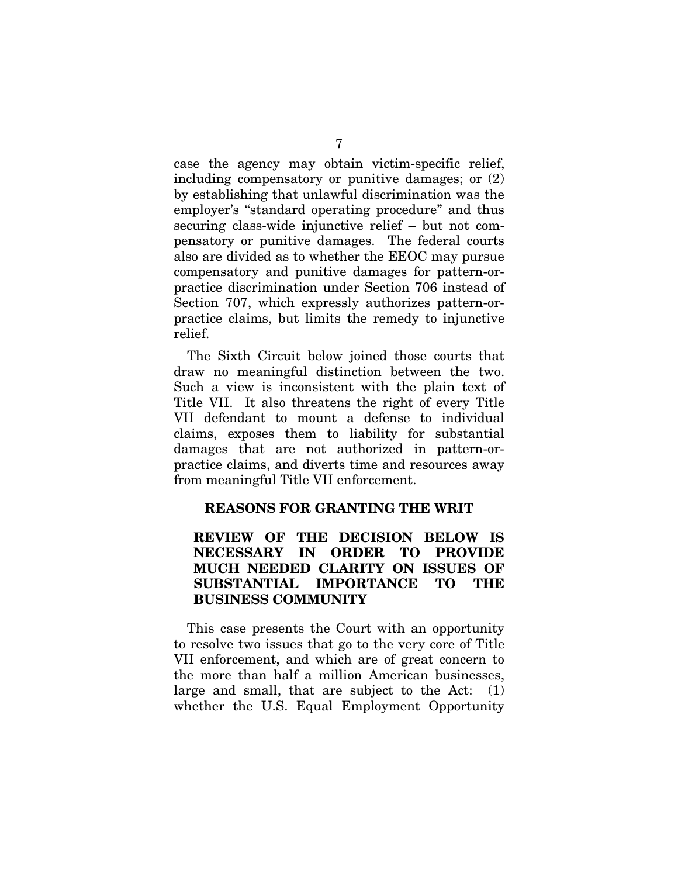case the agency may obtain victim-specific relief, including compensatory or punitive damages; or (2) by establishing that unlawful discrimination was the employer's "standard operating procedure" and thus securing class-wide injunctive relief – but not compensatory or punitive damages. The federal courts also are divided as to whether the EEOC may pursue compensatory and punitive damages for pattern-orpractice discrimination under Section 706 instead of Section 707, which expressly authorizes pattern-orpractice claims, but limits the remedy to injunctive relief.

The Sixth Circuit below joined those courts that draw no meaningful distinction between the two. Such a view is inconsistent with the plain text of Title VII. It also threatens the right of every Title VII defendant to mount a defense to individual claims, exposes them to liability for substantial damages that are not authorized in pattern-orpractice claims, and diverts time and resources away from meaningful Title VII enforcement.

### **REASONS FOR GRANTING THE WRIT**

### **REVIEW OF THE DECISION BELOW IS NECESSARY IN ORDER TO PROVIDE MUCH NEEDED CLARITY ON ISSUES OF SUBSTANTIAL IMPORTANCE TO THE BUSINESS COMMUNITY**

This case presents the Court with an opportunity to resolve two issues that go to the very core of Title VII enforcement, and which are of great concern to the more than half a million American businesses, large and small, that are subject to the Act: (1) whether the U.S. Equal Employment Opportunity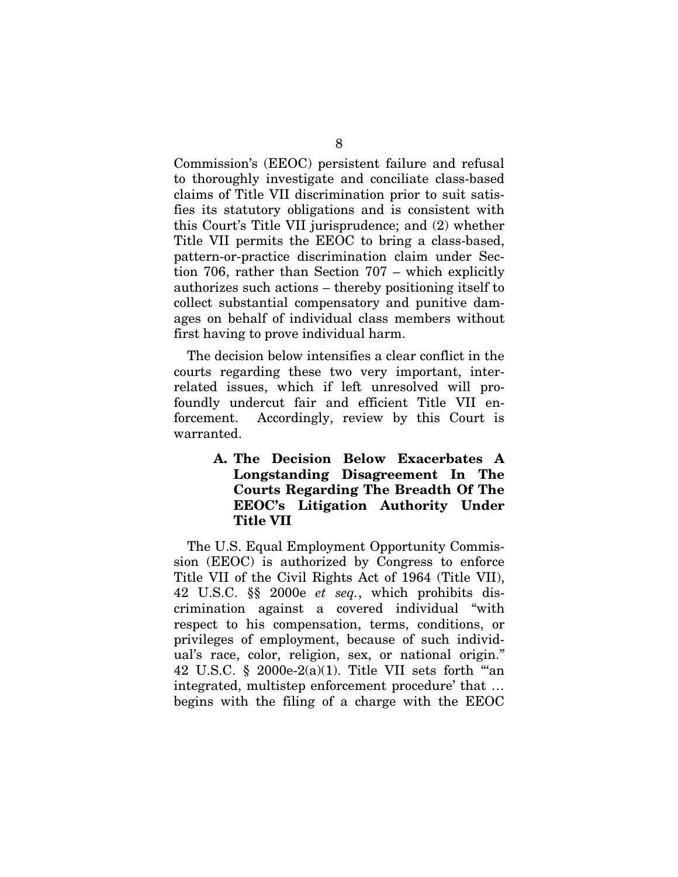Commission's (EEOC) persistent failure and refusal to thoroughly investigate and conciliate class-based claims of Title VII discrimination prior to suit satisfies its statutory obligations and is consistent with this Court's Title VII jurisprudence; and (2) whether Title VII permits the EEOC to bring a class-based, pattern-or-practice discrimination claim under Section 706, rather than Section 707 – which explicitly authorizes such actions – thereby positioning itself to collect substantial compensatory and punitive damages on behalf of individual class members without first having to prove individual harm.

The decision below intensifies a clear conflict in the courts regarding these two very important, interrelated issues, which if left unresolved will profoundly undercut fair and efficient Title VII enforcement. Accordingly, review by this Court is warranted.

> **A. The Decision Below Exacerbates A Longstanding Disagreement In The Courts Regarding The Breadth Of The EEOC's Litigation Authority Under Title VII**

The U.S. Equal Employment Opportunity Commission (EEOC) is authorized by Congress to enforce Title VII of the Civil Rights Act of 1964 (Title VII), 42 U.S.C. §§ 2000e *et seq.*, which prohibits discrimination against a covered individual "with respect to his compensation, terms, conditions, or privileges of employment, because of such individual's race, color, religion, sex, or national origin." 42 U.S.C.  $\S$  2000e-2(a)(1). Title VII sets forth "an integrated, multistep enforcement procedure' that … begins with the filing of a charge with the EEOC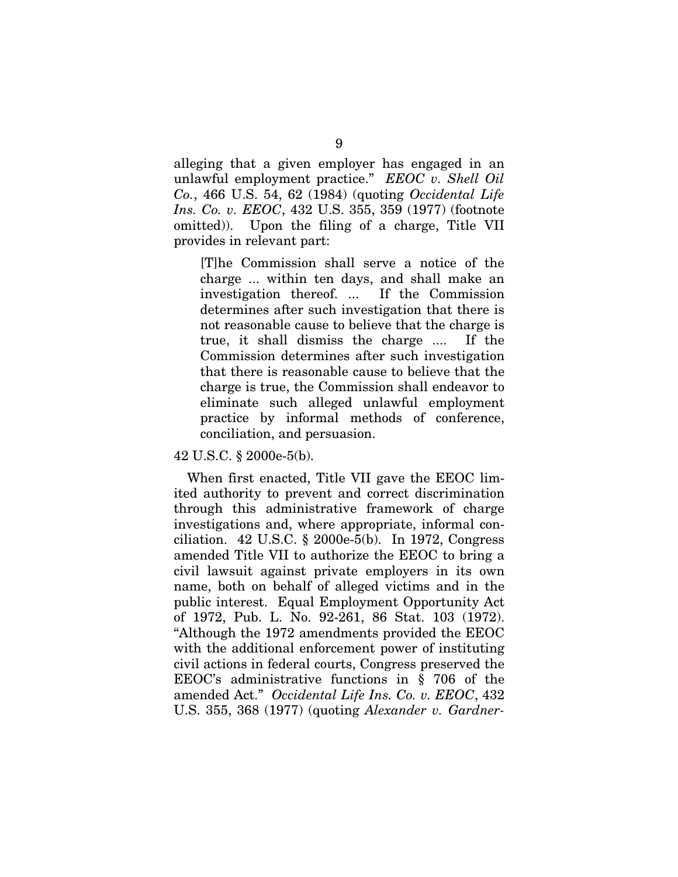alleging that a given employer has engaged in an unlawful employment practice." *EEOC v. Shell Oil Co.*, 466 U.S. 54, 62 (1984) (quoting *Occidental Life Ins. Co. v. EEOC*, 432 U.S. 355, 359 (1977) (footnote omitted)). Upon the filing of a charge, Title VII provides in relevant part:

[T]he Commission shall serve a notice of the charge ... within ten days, and shall make an investigation thereof. ... If the Commission determines after such investigation that there is not reasonable cause to believe that the charge is true, it shall dismiss the charge .... If the Commission determines after such investigation that there is reasonable cause to believe that the charge is true, the Commission shall endeavor to eliminate such alleged unlawful employment practice by informal methods of conference, conciliation, and persuasion.

42 U.S.C. § 2000e-5(b).

When first enacted, Title VII gave the EEOC limited authority to prevent and correct discrimination through this administrative framework of charge investigations and, where appropriate, informal conciliation. 42 U.S.C. § 2000e-5(b). In 1972, Congress amended Title VII to authorize the EEOC to bring a civil lawsuit against private employers in its own name, both on behalf of alleged victims and in the public interest. Equal Employment Opportunity Act of 1972, Pub. L. No. 92-261, 86 Stat. 103 (1972). "Although the 1972 amendments provided the EEOC with the additional enforcement power of instituting civil actions in federal courts, Congress preserved the EEOC's administrative functions in § 706 of the amended Act." *Occidental Life Ins. Co. v. EEOC*, 432 U.S. 355, 368 (1977) (quoting *Alexander v. Gardner-*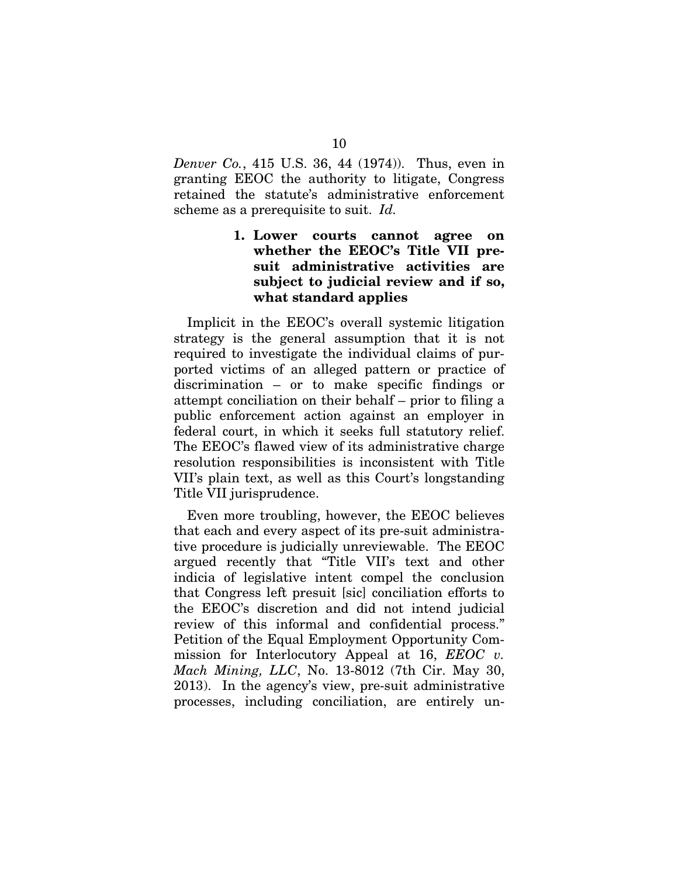*Denver Co.*, 415 U.S. 36, 44 (1974)). Thus, even in granting EEOC the authority to litigate, Congress retained the statute's administrative enforcement scheme as a prerequisite to suit. *Id.*

### **1. Lower courts cannot agree on whether the EEOC's Title VII presuit administrative activities are subject to judicial review and if so, what standard applies**

Implicit in the EEOC's overall systemic litigation strategy is the general assumption that it is not required to investigate the individual claims of purported victims of an alleged pattern or practice of discrimination – or to make specific findings or attempt conciliation on their behalf – prior to filing a public enforcement action against an employer in federal court, in which it seeks full statutory relief. The EEOC's flawed view of its administrative charge resolution responsibilities is inconsistent with Title VII's plain text, as well as this Court's longstanding Title VII jurisprudence.

Even more troubling, however, the EEOC believes that each and every aspect of its pre-suit administrative procedure is judicially unreviewable. The EEOC argued recently that "Title VII's text and other indicia of legislative intent compel the conclusion that Congress left presuit [sic] conciliation efforts to the EEOC's discretion and did not intend judicial review of this informal and confidential process." Petition of the Equal Employment Opportunity Commission for Interlocutory Appeal at 16, *EEOC v. Mach Mining, LLC*, No. 13-8012 (7th Cir. May 30, 2013). In the agency's view, pre-suit administrative processes, including conciliation, are entirely un-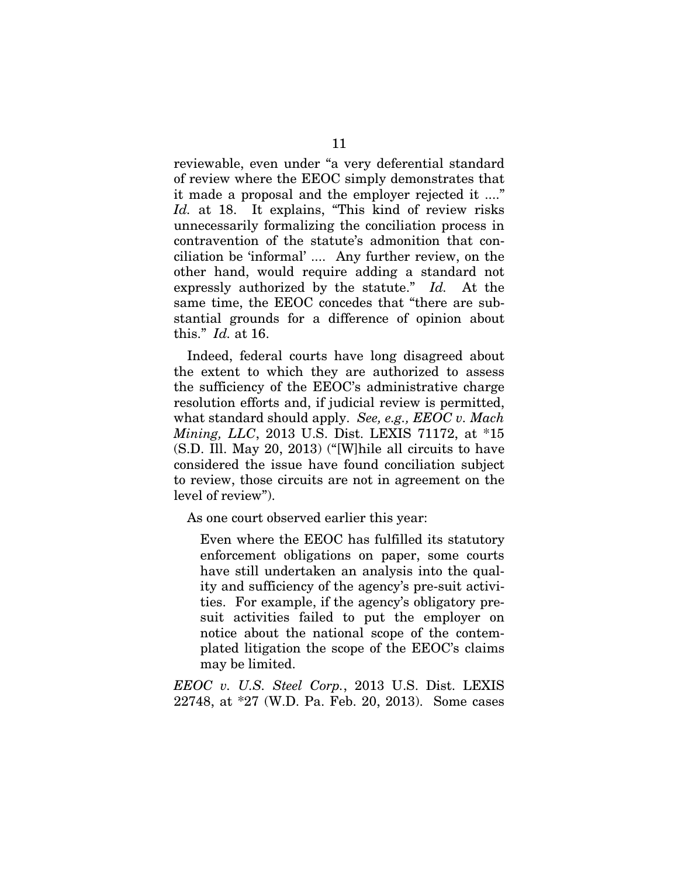reviewable, even under "a very deferential standard of review where the EEOC simply demonstrates that it made a proposal and the employer rejected it ...." *Id.* at 18. It explains, "This kind of review risks unnecessarily formalizing the conciliation process in contravention of the statute's admonition that conciliation be 'informal' .... Any further review, on the other hand, would require adding a standard not expressly authorized by the statute." *Id.* At the same time, the EEOC concedes that "there are substantial grounds for a difference of opinion about this." *Id.* at 16.

Indeed, federal courts have long disagreed about the extent to which they are authorized to assess the sufficiency of the EEOC's administrative charge resolution efforts and, if judicial review is permitted, what standard should apply. *See, e.g., EEOC v. Mach Mining, LLC*, 2013 U.S. Dist. LEXIS 71172, at \*15 (S.D. Ill. May 20, 2013) ("[W]hile all circuits to have considered the issue have found conciliation subject to review, those circuits are not in agreement on the level of review").

As one court observed earlier this year:

Even where the EEOC has fulfilled its statutory enforcement obligations on paper, some courts have still undertaken an analysis into the quality and sufficiency of the agency's pre-suit activities. For example, if the agency's obligatory presuit activities failed to put the employer on notice about the national scope of the contemplated litigation the scope of the EEOC's claims may be limited.

*EEOC v. U.S. Steel Corp.*, 2013 U.S. Dist. LEXIS 22748, at \*27 (W.D. Pa. Feb. 20, 2013). Some cases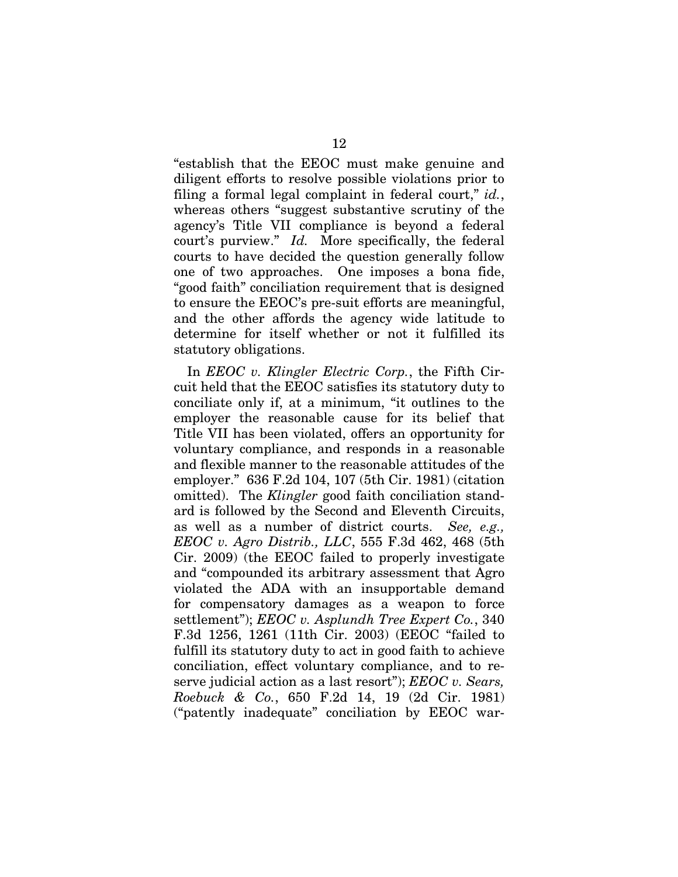"establish that the EEOC must make genuine and diligent efforts to resolve possible violations prior to filing a formal legal complaint in federal court," *id.*, whereas others "suggest substantive scrutiny of the agency's Title VII compliance is beyond a federal court's purview." *Id.* More specifically, the federal courts to have decided the question generally follow one of two approaches. One imposes a bona fide, "good faith" conciliation requirement that is designed to ensure the EEOC's pre-suit efforts are meaningful, and the other affords the agency wide latitude to determine for itself whether or not it fulfilled its statutory obligations.

In *EEOC v. Klingler Electric Corp.*, the Fifth Circuit held that the EEOC satisfies its statutory duty to conciliate only if, at a minimum, "it outlines to the employer the reasonable cause for its belief that Title VII has been violated, offers an opportunity for voluntary compliance, and responds in a reasonable and flexible manner to the reasonable attitudes of the employer." 636 F.2d 104, 107 (5th Cir. 1981) (citation omitted). The *Klingler* good faith conciliation standard is followed by the Second and Eleventh Circuits, as well as a number of district courts. *See, e.g., EEOC v. Agro Distrib., LLC*, 555 F.3d 462, 468 (5th Cir. 2009) (the EEOC failed to properly investigate and "compounded its arbitrary assessment that Agro violated the ADA with an insupportable demand for compensatory damages as a weapon to force settlement"); *EEOC v. Asplundh Tree Expert Co.*, 340 F.3d 1256, 1261 (11th Cir. 2003) (EEOC "failed to fulfill its statutory duty to act in good faith to achieve conciliation, effect voluntary compliance, and to reserve judicial action as a last resort"); *EEOC v. Sears, Roebuck & Co.*, 650 F.2d 14, 19 (2d Cir. 1981) ("patently inadequate" conciliation by EEOC war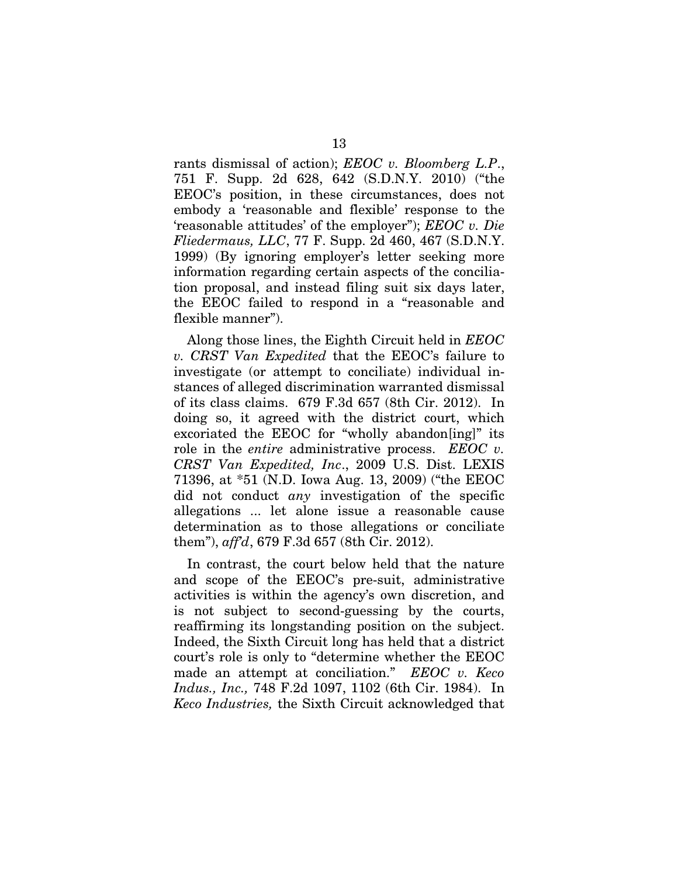rants dismissal of action); *EEOC v. Bloomberg L.P*., 751 F. Supp. 2d 628, 642 (S.D.N.Y. 2010) ("the EEOC's position, in these circumstances, does not embody a 'reasonable and flexible' response to the 'reasonable attitudes' of the employer"); *EEOC v. Die Fliedermaus, LLC*, 77 F. Supp. 2d 460, 467 (S.D.N.Y. 1999) (By ignoring employer's letter seeking more information regarding certain aspects of the conciliation proposal, and instead filing suit six days later, the EEOC failed to respond in a "reasonable and flexible manner").

Along those lines, the Eighth Circuit held in *EEOC v. CRST Van Expedited* that the EEOC's failure to investigate (or attempt to conciliate) individual instances of alleged discrimination warranted dismissal of its class claims. 679 F.3d 657 (8th Cir. 2012). In doing so, it agreed with the district court, which excoriated the EEOC for "wholly abandon[ing]" its role in the *entire* administrative process. *EEOC v. CRST Van Expedited, Inc*., 2009 U.S. Dist. LEXIS 71396, at \*51 (N.D. Iowa Aug. 13, 2009) ("the EEOC did not conduct *any* investigation of the specific allegations ... let alone issue a reasonable cause determination as to those allegations or conciliate them"), *aff'd*, 679 F.3d 657 (8th Cir. 2012).

In contrast, the court below held that the nature and scope of the EEOC's pre-suit, administrative activities is within the agency's own discretion, and is not subject to second-guessing by the courts, reaffirming its longstanding position on the subject. Indeed, the Sixth Circuit long has held that a district court's role is only to "determine whether the EEOC made an attempt at conciliation." *EEOC v. Keco Indus., Inc.,* 748 F.2d 1097, 1102 (6th Cir. 1984). In *Keco Industries,* the Sixth Circuit acknowledged that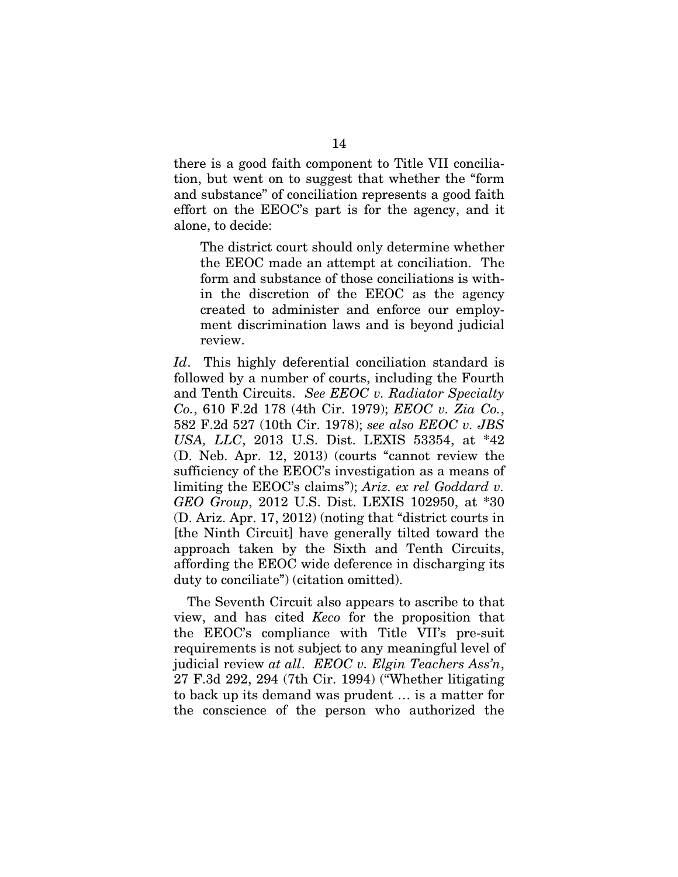there is a good faith component to Title VII conciliation, but went on to suggest that whether the "form and substance" of conciliation represents a good faith effort on the EEOC's part is for the agency, and it alone, to decide:

The district court should only determine whether the EEOC made an attempt at conciliation. The form and substance of those conciliations is within the discretion of the EEOC as the agency created to administer and enforce our employment discrimination laws and is beyond judicial review.

*Id*. This highly deferential conciliation standard is followed by a number of courts, including the Fourth and Tenth Circuits. *See EEOC v. Radiator Specialty Co.*, 610 F.2d 178 (4th Cir. 1979); *EEOC v. Zia Co.*, 582 F.2d 527 (10th Cir. 1978); *see also EEOC v. JBS USA, LLC*, 2013 U.S. Dist. LEXIS 53354, at \*42 (D. Neb. Apr. 12, 2013) (courts "cannot review the sufficiency of the EEOC's investigation as a means of limiting the EEOC's claims"); *Ariz. ex rel Goddard v. GEO Group*, 2012 U.S. Dist. LEXIS 102950, at \*30 (D. Ariz. Apr. 17, 2012) (noting that "district courts in [the Ninth Circuit] have generally tilted toward the approach taken by the Sixth and Tenth Circuits, affording the EEOC wide deference in discharging its duty to conciliate") (citation omitted).

The Seventh Circuit also appears to ascribe to that view, and has cited *Keco* for the proposition that the EEOC's compliance with Title VII's pre-suit requirements is not subject to any meaningful level of judicial review *at all*. *EEOC v. Elgin Teachers Ass'n*, 27 F.3d 292, 294 (7th Cir. 1994) ("Whether litigating to back up its demand was prudent … is a matter for the conscience of the person who authorized the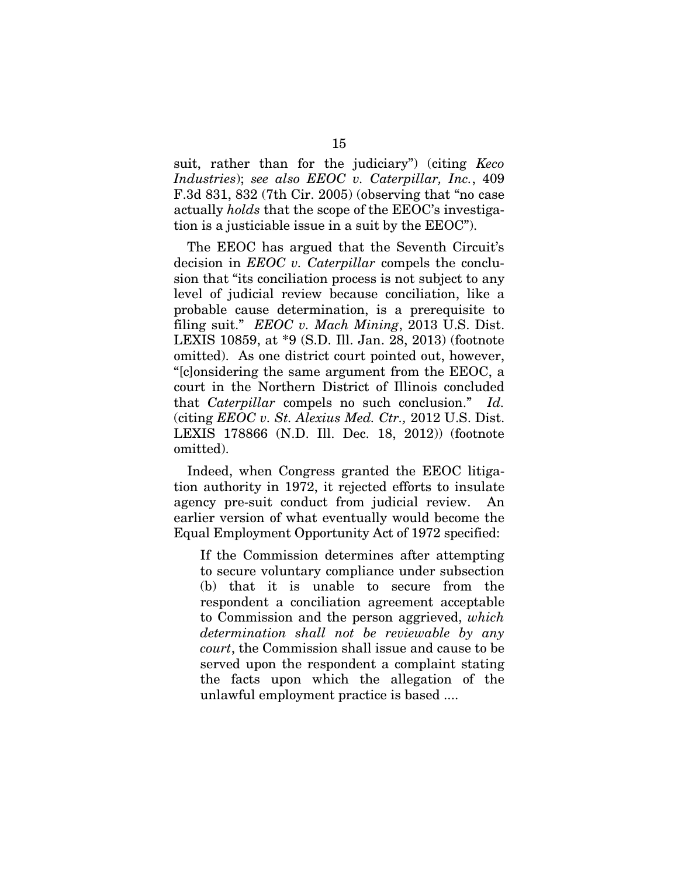suit, rather than for the judiciary") (citing *Keco Industries*); *see also EEOC v. Caterpillar, Inc.*, 409 F.3d 831, 832 (7th Cir. 2005) (observing that "no case actually *holds* that the scope of the EEOC's investigation is a justiciable issue in a suit by the EEOC").

The EEOC has argued that the Seventh Circuit's decision in *EEOC v. Caterpillar* compels the conclusion that "its conciliation process is not subject to any level of judicial review because conciliation, like a probable cause determination, is a prerequisite to filing suit." *EEOC v. Mach Mining*, 2013 U.S. Dist. LEXIS 10859, at \*9 (S.D. Ill. Jan. 28, 2013) (footnote omitted). As one district court pointed out, however, "[c]onsidering the same argument from the EEOC, a court in the Northern District of Illinois concluded that *Caterpillar* compels no such conclusion." *Id.*  (citing *EEOC v. St. Alexius Med. Ctr.,* 2012 U.S. Dist. LEXIS 178866 (N.D. Ill. Dec. 18, 2012)) (footnote omitted).

Indeed, when Congress granted the EEOC litigation authority in 1972, it rejected efforts to insulate agency pre-suit conduct from judicial review. An earlier version of what eventually would become the Equal Employment Opportunity Act of 1972 specified:

If the Commission determines after attempting to secure voluntary compliance under subsection (b) that it is unable to secure from the respondent a conciliation agreement acceptable to Commission and the person aggrieved, *which determination shall not be reviewable by any court*, the Commission shall issue and cause to be served upon the respondent a complaint stating the facts upon which the allegation of the unlawful employment practice is based ....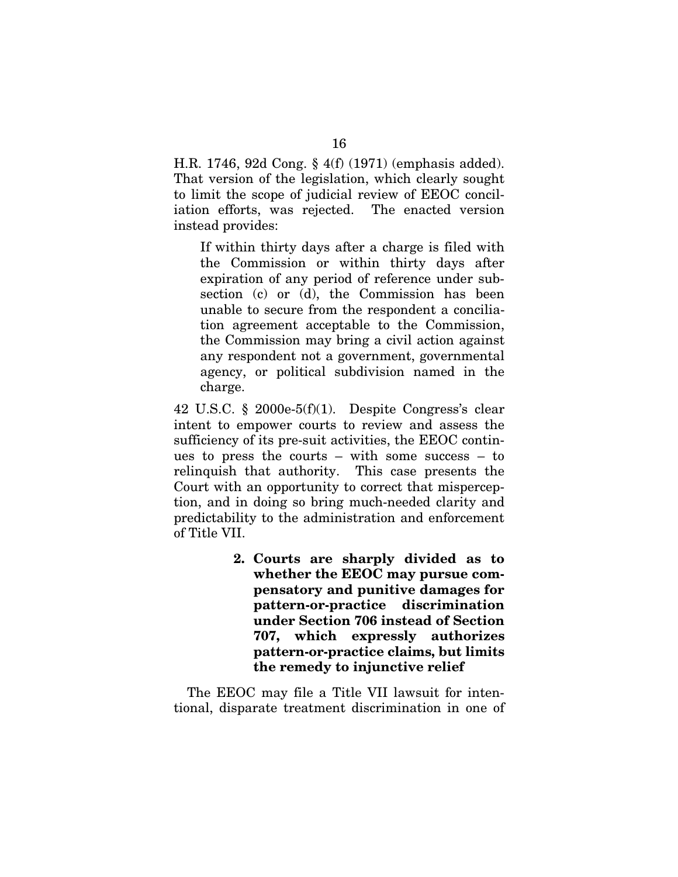H.R. 1746, 92d Cong. § 4(f) (1971) (emphasis added). That version of the legislation, which clearly sought to limit the scope of judicial review of EEOC conciliation efforts, was rejected. The enacted version instead provides:

If within thirty days after a charge is filed with the Commission or within thirty days after expiration of any period of reference under subsection (c) or (d), the Commission has been unable to secure from the respondent a conciliation agreement acceptable to the Commission, the Commission may bring a civil action against any respondent not a government, governmental agency, or political subdivision named in the charge.

42 U.S.C. § 2000e-5(f)(1). Despite Congress's clear intent to empower courts to review and assess the sufficiency of its pre-suit activities, the EEOC continues to press the courts – with some success – to relinquish that authority. This case presents the Court with an opportunity to correct that misperception, and in doing so bring much-needed clarity and predictability to the administration and enforcement of Title VII.

> **2. Courts are sharply divided as to whether the EEOC may pursue compensatory and punitive damages for pattern-or-practice discrimination under Section 706 instead of Section 707, which expressly authorizes pattern-or-practice claims, but limits the remedy to injunctive relief**

The EEOC may file a Title VII lawsuit for intentional, disparate treatment discrimination in one of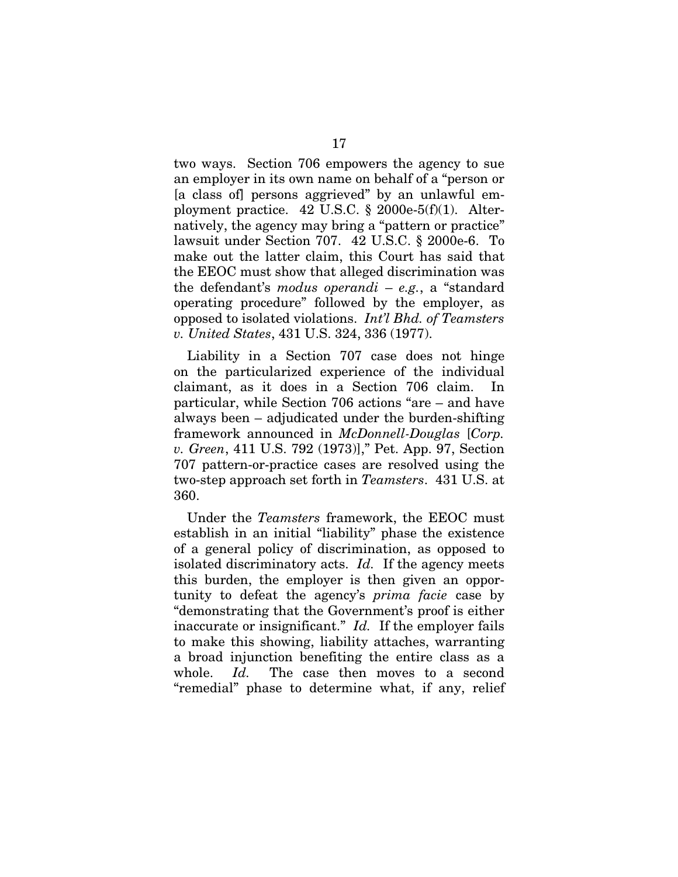two ways. Section 706 empowers the agency to sue an employer in its own name on behalf of a "person or [a class of] persons aggrieved" by an unlawful employment practice.  $42 \text{ U.S.C. }$ §  $2000 \text{e-}5 \cdot f \cdot (1)$ . Alternatively, the agency may bring a "pattern or practice" lawsuit under Section 707. 42 U.S.C. § 2000e-6. To make out the latter claim, this Court has said that the EEOC must show that alleged discrimination was the defendant's *modus operandi* – *e.g.*, a "standard operating procedure" followed by the employer, as opposed to isolated violations. *Int'l Bhd. of Teamsters v. United States*, 431 U.S. 324, 336 (1977).

Liability in a Section 707 case does not hinge on the particularized experience of the individual claimant, as it does in a Section 706 claim. In particular, while Section 706 actions "are – and have always been – adjudicated under the burden-shifting framework announced in *McDonnell-Douglas* [*Corp. v. Green*, 411 U.S. 792 (1973)]," Pet. App. 97, Section 707 pattern-or-practice cases are resolved using the two-step approach set forth in *Teamsters*. 431 U.S. at 360.

Under the *Teamsters* framework, the EEOC must establish in an initial "liability" phase the existence of a general policy of discrimination, as opposed to isolated discriminatory acts. *Id.* If the agency meets this burden, the employer is then given an opportunity to defeat the agency's *prima facie* case by "demonstrating that the Government's proof is either inaccurate or insignificant." *Id.* If the employer fails to make this showing, liability attaches, warranting a broad injunction benefiting the entire class as a whole. *Id.* The case then moves to a second "remedial" phase to determine what, if any, relief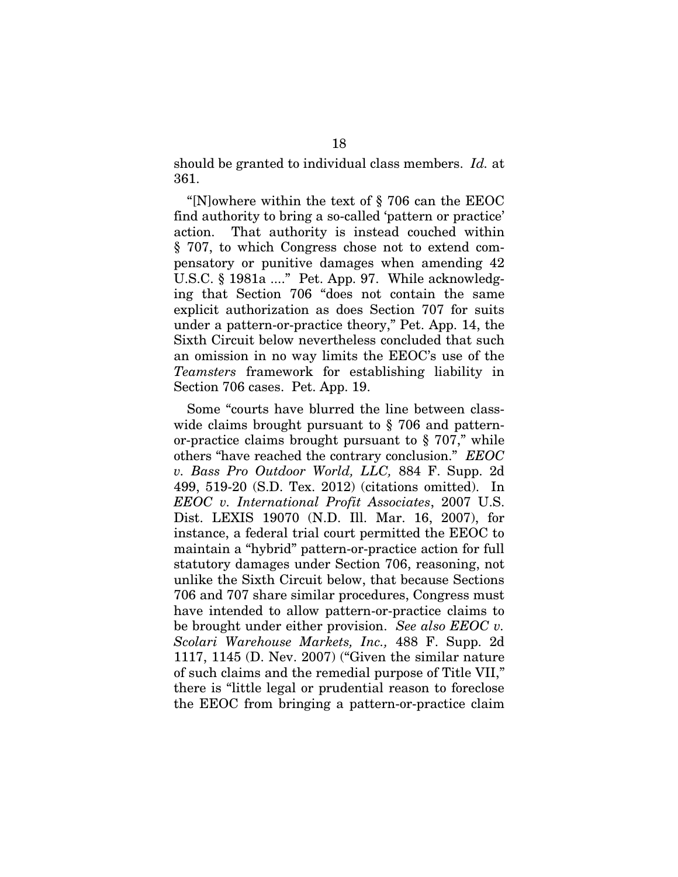should be granted to individual class members. *Id.* at 361.

"[N]owhere within the text of § 706 can the EEOC find authority to bring a so-called 'pattern or practice' action. That authority is instead couched within § 707, to which Congress chose not to extend compensatory or punitive damages when amending 42 U.S.C. § 1981a ...." Pet. App. 97. While acknowledging that Section 706 "does not contain the same explicit authorization as does Section 707 for suits under a pattern-or-practice theory," Pet. App. 14, the Sixth Circuit below nevertheless concluded that such an omission in no way limits the EEOC's use of the *Teamsters* framework for establishing liability in Section 706 cases. Pet. App. 19.

Some "courts have blurred the line between classwide claims brought pursuant to § 706 and patternor-practice claims brought pursuant to § 707," while others "have reached the contrary conclusion." *EEOC v. Bass Pro Outdoor World, LLC,* 884 F. Supp. 2d 499, 519-20 (S.D. Tex. 2012) (citations omitted). In *EEOC v. International Profit Associates*, 2007 U.S. Dist. LEXIS 19070 (N.D. Ill. Mar. 16, 2007), for instance, a federal trial court permitted the EEOC to maintain a "hybrid" pattern-or-practice action for full statutory damages under Section 706, reasoning, not unlike the Sixth Circuit below, that because Sections 706 and 707 share similar procedures, Congress must have intended to allow pattern-or-practice claims to be brought under either provision. *See also EEOC v. Scolari Warehouse Markets, Inc.,* 488 F. Supp. 2d 1117, 1145 (D. Nev. 2007) ("Given the similar nature of such claims and the remedial purpose of Title VII," there is "little legal or prudential reason to foreclose the EEOC from bringing a pattern-or-practice claim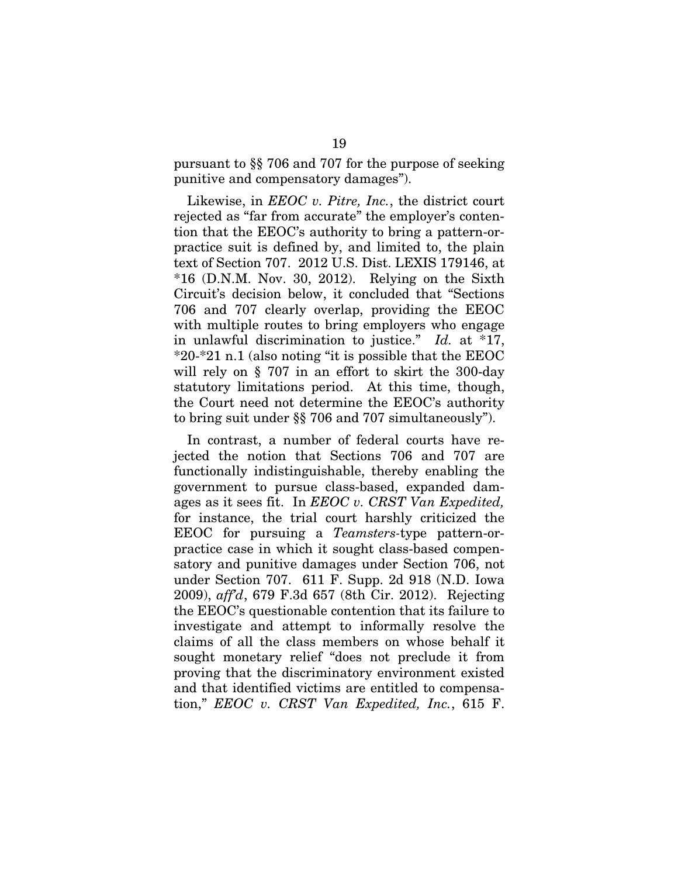pursuant to §§ 706 and 707 for the purpose of seeking punitive and compensatory damages").

Likewise, in *EEOC v. Pitre, Inc.*, the district court rejected as "far from accurate" the employer's contention that the EEOC's authority to bring a pattern-orpractice suit is defined by, and limited to, the plain text of Section 707. 2012 U.S. Dist. LEXIS 179146, at  $*16$  (D.N.M. Nov. 30, 2012). Relying on the Sixth Circuit's decision below, it concluded that "Sections 706 and 707 clearly overlap, providing the EEOC with multiple routes to bring employers who engage in unlawful discrimination to justice." *Id.* at \*17, \*20-\*21 n.1 (also noting "it is possible that the EEOC will rely on § 707 in an effort to skirt the 300-day statutory limitations period. At this time, though, the Court need not determine the EEOC's authority to bring suit under §§ 706 and 707 simultaneously").

In contrast, a number of federal courts have rejected the notion that Sections 706 and 707 are functionally indistinguishable, thereby enabling the government to pursue class-based, expanded damages as it sees fit. In *EEOC v. CRST Van Expedited,* for instance, the trial court harshly criticized the EEOC for pursuing a *Teamsters-*type pattern-orpractice case in which it sought class-based compensatory and punitive damages under Section 706, not under Section 707. 611 F. Supp. 2d 918 (N.D. Iowa 2009), *aff'd*, 679 F.3d 657 (8th Cir. 2012). Rejecting the EEOC's questionable contention that its failure to investigate and attempt to informally resolve the claims of all the class members on whose behalf it sought monetary relief "does not preclude it from proving that the discriminatory environment existed and that identified victims are entitled to compensation," *EEOC v. CRST Van Expedited, Inc.*, 615 F.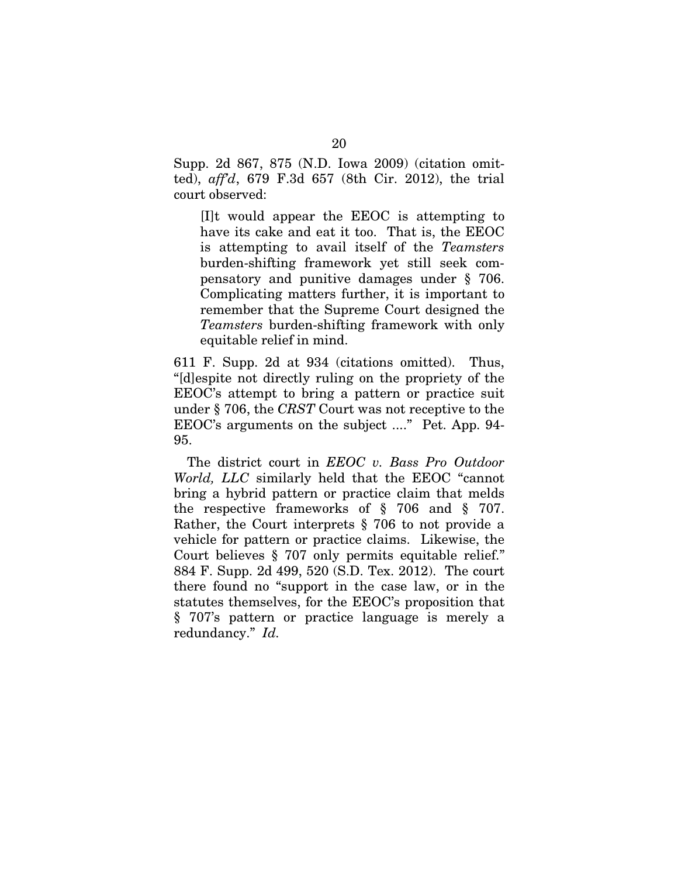Supp. 2d 867, 875 (N.D. Iowa 2009) (citation omitted), *aff'd*, 679 F.3d 657 (8th Cir. 2012), the trial court observed:

[I]t would appear the EEOC is attempting to have its cake and eat it too. That is, the EEOC is attempting to avail itself of the *Teamsters* burden-shifting framework yet still seek compensatory and punitive damages under § 706. Complicating matters further, it is important to remember that the Supreme Court designed the *Teamsters* burden-shifting framework with only equitable relief in mind.

611 F. Supp. 2d at 934 (citations omitted). Thus, "[d]espite not directly ruling on the propriety of the EEOC's attempt to bring a pattern or practice suit under § 706, the *CRST* Court was not receptive to the EEOC's arguments on the subject ...." Pet. App. 94- 95.

The district court in *EEOC v. Bass Pro Outdoor World, LLC* similarly held that the EEOC "cannot bring a hybrid pattern or practice claim that melds the respective frameworks of § 706 and § 707. Rather, the Court interprets § 706 to not provide a vehicle for pattern or practice claims. Likewise, the Court believes § 707 only permits equitable relief." 884 F. Supp. 2d 499, 520 (S.D. Tex. 2012). The court there found no "support in the case law, or in the statutes themselves, for the EEOC's proposition that § 707's pattern or practice language is merely a redundancy." *Id.*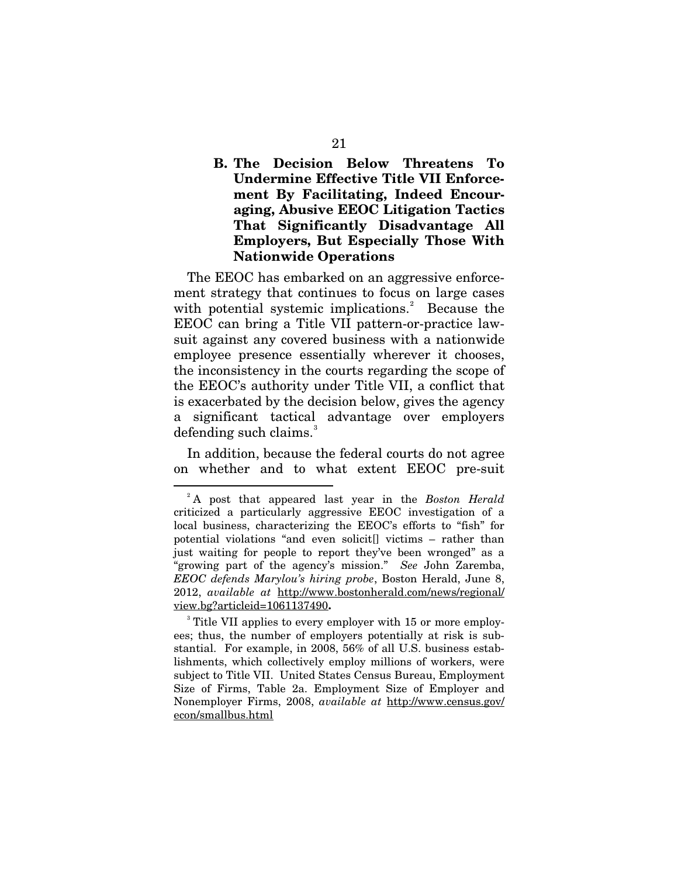### **B. The Decision Below Threatens To Undermine Effective Title VII Enforcement By Facilitating, Indeed Encouraging, Abusive EEOC Litigation Tactics That Significantly Disadvantage All Employers, But Especially Those With Nationwide Operations**

The EEOC has embarked on an aggressive enforcement strategy that continues to focus on large cases with potential systemic implications.<sup>[2](#page-28-0)</sup> Because the EEOC can bring a Title VII pattern-or-practice lawsuit against any covered business with a nationwide employee presence essentially wherever it chooses, the inconsistency in the courts regarding the scope of the EEOC's authority under Title VII, a conflict that is exacerbated by the decision below, gives the agency a significant tactical advantage over employers defending such claims. $3$ 

In addition, because the federal courts do not agree on whether and to what extent EEOC pre-suit

-

<span id="page-28-0"></span><sup>2</sup> A post that appeared last year in the *Boston Herald*  criticized a particularly aggressive EEOC investigation of a local business, characterizing the EEOC's efforts to "fish" for potential violations "and even solicit[] victims – rather than just waiting for people to report they've been wronged" as a "growing part of the agency's mission." *See* John Zaremba, *EEOC defends Marylou's hiring probe*, Boston Herald, June 8, 2012, *available at* [http://www.bostonherald.com/news/regional/](http://www.bostonherald.com/news/regional/%20view.bg?articleid=1061137490)  [view.bg?articleid=1061137490](http://www.bostonherald.com/news/regional/%20view.bg?articleid=1061137490)**.**

<span id="page-28-1"></span><sup>&</sup>lt;sup>3</sup> Title VII applies to every employer with 15 or more employees; thus, the number of employers potentially at risk is substantial. For example, in 2008, 56% of all U.S. business establishments, which collectively employ millions of workers, were subject to Title VII. United States Census Bureau, Employment Size of Firms, Table 2a. Employment Size of Employer and Nonemployer Firms, 2008, *available at* [http://www.census.gov/](http://www.census.gov/%20econ/smallbus.html)  [econ/smallbus.html](http://www.census.gov/%20econ/smallbus.html)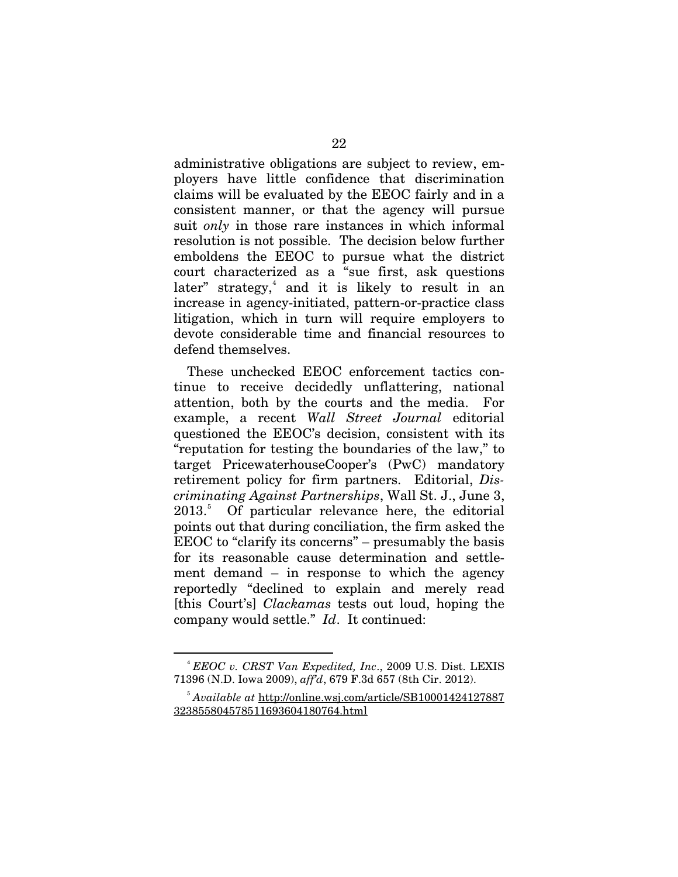administrative obligations are subject to review, employers have little confidence that discrimination claims will be evaluated by the EEOC fairly and in a consistent manner, or that the agency will pursue suit *only* in those rare instances in which informal resolution is not possible. The decision below further emboldens the EEOC to pursue what the district court characterized as a "sue first, ask questions later" strategy,<sup>[4](#page-29-0)</sup> and it is likely to result in an increase in agency-initiated, pattern-or-practice class litigation, which in turn will require employers to devote considerable time and financial resources to defend themselves.

These unchecked EEOC enforcement tactics continue to receive decidedly unflattering, national attention, both by the courts and the media. For example, a recent *Wall Street Journal* editorial questioned the EEOC's decision, consistent with its "reputation for testing the boundaries of the law," to target PricewaterhouseCooper's (PwC) mandatory retirement policy for firm partners. Editorial, *Discriminating Against Partnerships*, Wall St. J., June 3, 2013. [5](#page-29-1) Of particular relevance here, the editorial points out that during conciliation, the firm asked the EEOC to "clarify its concerns" – presumably the basis for its reasonable cause determination and settlement demand – in response to which the agency reportedly "declined to explain and merely read [this Court's] *Clackamas* tests out loud, hoping the company would settle." *Id*. It continued:

<u>.</u>

<span id="page-29-0"></span><sup>4</sup> *EEOC v. CRST Van Expedited, Inc*., 2009 U.S. Dist. LEXIS 71396 (N.D. Iowa 2009), *aff'd*, 679 F.3d 657 (8th Cir. 2012).

<span id="page-29-1"></span><sup>5</sup> *Available at* [http://online.wsj.com/article/SB10001424127887](http://online.wsj.com/article/SB10001424127887%20323855804578511693604180764.html)  [323855804578511693604180764.html](http://online.wsj.com/article/SB10001424127887%20323855804578511693604180764.html)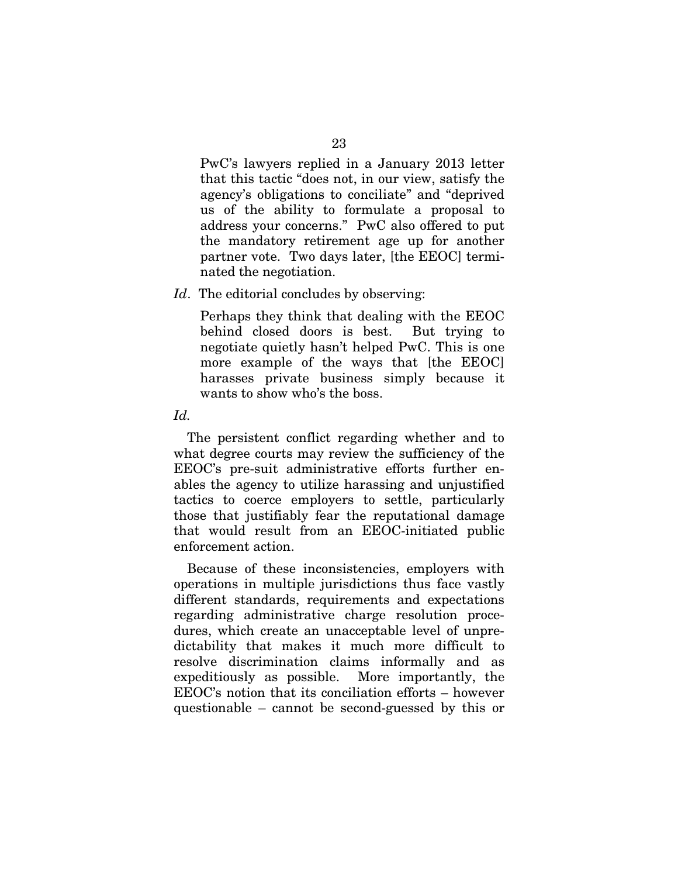PwC's lawyers replied in a January 2013 letter that this tactic "does not, in our view, satisfy the agency's obligations to conciliate" and "deprived us of the ability to formulate a proposal to address your concerns." PwC also offered to put the mandatory retirement age up for another partner vote. Two days later, [the EEOC] terminated the negotiation.

#### *Id.* The editorial concludes by observing:

Perhaps they think that dealing with the EEOC behind closed doors is best. But trying to negotiate quietly hasn't helped PwC. This is one more example of the ways that [the EEOC] harasses private business simply because it wants to show who's the boss.

#### *Id.*

The persistent conflict regarding whether and to what degree courts may review the sufficiency of the EEOC's pre-suit administrative efforts further enables the agency to utilize harassing and unjustified tactics to coerce employers to settle, particularly those that justifiably fear the reputational damage that would result from an EEOC-initiated public enforcement action.

Because of these inconsistencies, employers with operations in multiple jurisdictions thus face vastly different standards, requirements and expectations regarding administrative charge resolution procedures, which create an unacceptable level of unpredictability that makes it much more difficult to resolve discrimination claims informally and as expeditiously as possible. More importantly, the EEOC's notion that its conciliation efforts – however questionable – cannot be second-guessed by this or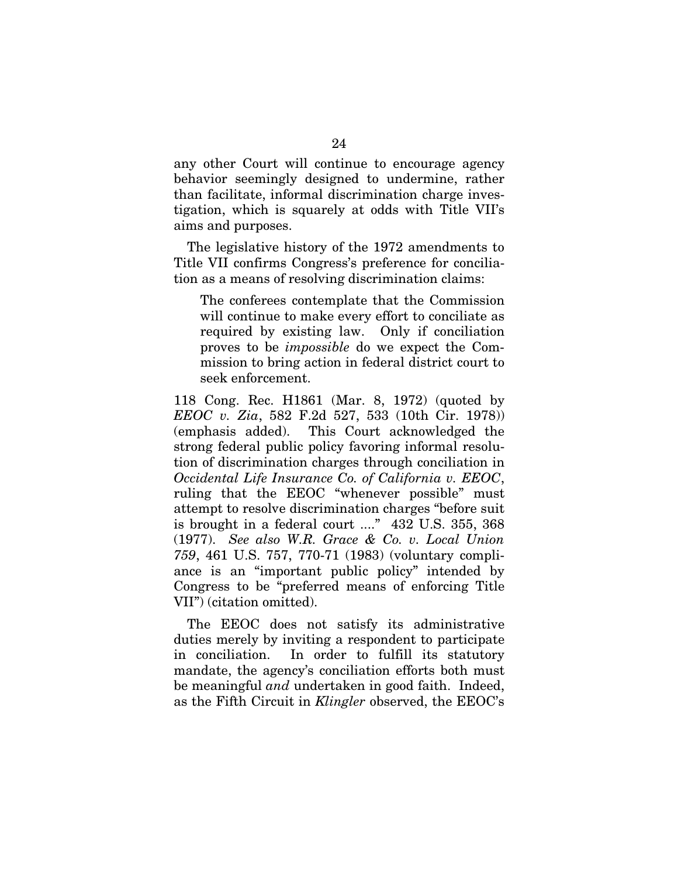any other Court will continue to encourage agency behavior seemingly designed to undermine, rather than facilitate, informal discrimination charge investigation, which is squarely at odds with Title VII's aims and purposes.

The legislative history of the 1972 amendments to Title VII confirms Congress's preference for conciliation as a means of resolving discrimination claims:

The conferees contemplate that the Commission will continue to make every effort to conciliate as required by existing law. Only if conciliation proves to be *impossible* do we expect the Commission to bring action in federal district court to seek enforcement.

118 Cong. Rec. H1861 (Mar. 8, 1972) (quoted by *EEOC v. Zia*, 582 F.2d 527, 533 (10th Cir. 1978)) (emphasis added). This Court acknowledged the strong federal public policy favoring informal resolution of discrimination charges through conciliation in *Occidental Life Insurance Co. of California v. EEOC*, ruling that the EEOC "whenever possible" must attempt to resolve discrimination charges "before suit is brought in a federal court ...." 432 U.S. 355, 368 (1977). *See also W.R. Grace & Co. v. Local Union 759*, 461 U.S. 757, 770-71 (1983) (voluntary compliance is an "important public policy" intended by Congress to be "preferred means of enforcing Title VII") (citation omitted).

The EEOC does not satisfy its administrative duties merely by inviting a respondent to participate in conciliation. In order to fulfill its statutory mandate, the agency's conciliation efforts both must be meaningful *and* undertaken in good faith. Indeed, as the Fifth Circuit in *Klingler* observed, the EEOC's